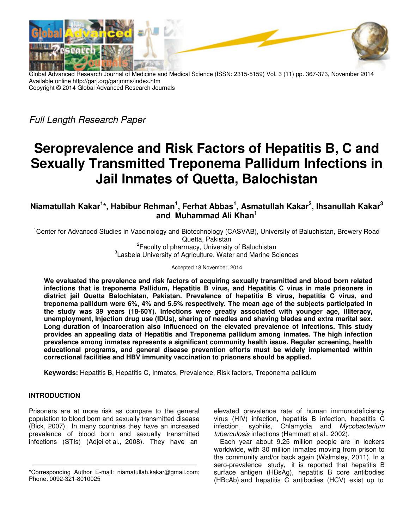

Global Advanced Research Journal of Medicine and Medical Science (ISSN: 2315-5159) Vol. 3 (11) pp. 367-373, November 2014 Available online http://garj.org/garjmms/index.htm Copyright © 2014 Global Advanced Research Journals

Full Length Research Paper

# **Seroprevalence and Risk Factors of Hepatitis B, C and Sexually Transmitted Treponema Pallidum Infections in Jail Inmates of Quetta, Balochistan**

**Niamatullah Kakar<sup>1</sup> \*, Habibur Rehman<sup>1</sup> , Ferhat Abbas<sup>1</sup> , Asmatullah Kakar<sup>2</sup> , Ihsanullah Kakar<sup>3</sup> and Muhammad Ali Khan<sup>1</sup>**

<sup>1</sup>Center for Advanced Studies in Vaccinology and Biotechnology (CASVAB), University of Baluchistan, Brewery Road Quetta, Pakistan

<sup>2</sup> Faculty of pharmacy, University of Baluchistan <sup>3</sup> Lasbela University of Agriculture, Water and Marine Sciences

Accepted 18 November, 2014

**We evaluated the prevalence and risk factors of acquiring sexually transmitted and blood born related infections that is treponema Pallidum, Hepatitis B virus, and Hepatitis C virus in male prisoners in district jail Quetta Balochistan, Pakistan. Prevalence of hepatitis B virus, hepatitis C virus, and treponema pallidum were 6%, 4% and 5.5% respectively. The mean age of the subjects participated in the study was 39 years (18-60Y). Infections were greatly associated with younger age, illiteracy, unemployment, Injection drug use (IDUs), sharing of needles and shaving blades and extra marital sex. Long duration of incarceration also influenced on the elevated prevalence of infections. This study provides an appealing data of Hepatitis and Treponema pallidum among inmates. The high infection prevalence among inmates represents a significant community health issue. Regular screening, health educational programs, and general disease prevention efforts must be widely implemented within correctional facilities and HBV immunity vaccination to prisoners should be applied.** 

**Keywords:** Hepatitis B, Hepatitis C, Inmates, Prevalence, Risk factors, Treponema pallidum

# **INTRODUCTION**

Prisoners are at more risk as compare to the general population to blood born and sexually transmitted disease (Bick, 2007). In many countries they have an increased prevalence of blood born and sexually transmitted infections (STIs) (Adjei et al., 2008). They have an

elevated prevalence rate of human immunodeficiency virus (HIV) infection, hepatitis B infection, hepatitis C infection, syphilis, Chlamydia and Mycobacterium tuberculosis infections (Hammett et al., 2002).

Each year about 9.25 million people are in lockers worldwide, with 30 million inmates moving from prison to the community and/or back again (Walmsley, 2011). In a sero-prevalence study, it is reported that hepatitis B surface antigen (HBsAg), hepatitis B core antibodies (HBcAb) and hepatitis C antibodies (HCV) exist up to

<sup>\*</sup>Corresponding Author E-mail: niamatullah.kakar@gmail.com; Phone: 0092-321-8010025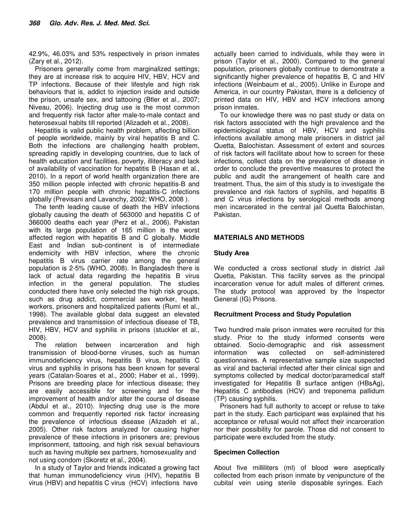42.9%, 46.03% and 53% respectively in prison inmates (Zary et al., 2012).

Prisoners generally come from marginalized settings; they are at increase risk to acquire HIV, HBV, HCV and TP infections. Because of their lifestyle and high risk behaviours that is, addict to injection inside and outside the prison, unsafe sex, and tattooing (Btler et al., 2007; Niveau, 2006). Injecting drug use is the most common and frequently risk factor after male-to-male contact and heterosexual habits till reported (Alizadeh et al., 2008).

Hepatitis is valid public health problem, affecting billion of people worldwide, mainly by viral hepatitis B and C. Both the infections are challenging health problem, spreading rapidly in developing countries, due to lack of health education and facilities, poverty, illiteracy and lack of availability of vaccination for hepatitis B (Hasan et al., 2010). In a report of world health organization there are 350 million people infected with chronic hepatitis-B and 170 million people with chronic hepatitis-C infections globally (Previsani and Lavanchy, 2002; WHO, 2008 ).

The tenth leading cause of death the HBV infections globally causing the death of 563000 and hepatitis C of 366000 deaths each year (Perz et al., 2006). Pakistan with its large population of 165 million is the worst affected region with hepatitis B and C globally. Middle East and Indian sub-continent is of intermediate endemicity with HBV infection, where the chronic hepatitis B virus carrier rate among the general population is 2-5% (WHO, 2008). In Bangladesh there is lack of actual data regarding the hepatitis B virus infection in the general population. The studies conducted there have only selected the high risk groups, such as drug addict, commercial sex worker, health workers, prisoners and hospitalized patients (Rumi et al., 1998). The available global data suggest an elevated prevalence and transmission of infectious disease of TB, HIV, HBV, HCV and syphilis in prisons (stuckler et al., 2008).

The relation between incarceration and high transmission of blood-borne viruses, such as human immunodeficiency virus, hepatitis B virus, hepatitis C virus and syphilis in prisons has been known for several years (Catalan-Soares et al., 2000; Haber et al., 1999). Prisons are breeding place for infectious disease; they are easily accessible for screening and for the improvement of health and/or alter the course of disease (Abdul et al., 2010). Injecting drug use is the more common and frequently reported risk factor increasing the prevalence of infectious disease (Alizadeh et al., 2005). Other risk factors analyzed for causing higher prevalence of these infections in prisoners are; previous imprisonment, tattooing, and high risk sexual behaviours such as having multiple sex partners, homosexuality and not using condom (Skoretz et al., 2004).

In a study of Taylor and friends indicated a growing fact that human immunodeficiency virus (HIV), hepatitis B virus (HBV) and hepatitis C virus (HCV) infections have

actually been carried to individuals, while they were in prison (Taylor et al., 2000). Compared to the general population, prisoners globally continue to demonstrate a significantly higher prevalence of hepatitis B, C and HIV infections (Weinbaum et al., 2005). Unlike in Europe and America, in our country Pakistan, there is a deficiency of printed data on HIV, HBV and HCV infections among prison inmates.

To our knowledge there was no past study or data on risk factors associated with the high prevalence and the epidemiological status of HBV, HCV and syphilis infections available among male prisoners in district jail Quetta, Balochistan. Assessment of extent and sources of risk factors will facilitate about how to screen for these infections, collect data on the prevalence of disease in order to conclude the preventive measures to protect the public and audit the arrangement of health care and treatment. Thus, the aim of this study is to investigate the prevalence and risk factors of syphilis, and hepatitis B and C virus infections by serological methods among men incarcerated in the central jail Quetta Balochistan, Pakistan.

## **MATERIALS AND METHODS**

## **Study Area**

We conducted a cross sectional study in district Jail Quetta, Pakistan. This facility serves as the principal incarceration venue for adult males of different crimes. The study protocol was approved by the Inspector General (IG) Prisons.

## **Recruitment Process and Study Population**

Two hundred male prison inmates were recruited for this study. Prior to the study informed consents were obtained. Socio-demographic and risk assessment information was collected on self-administered questionnaires. A representative sample size suspected as viral and bacterial infected after their clinical sign and symptoms collected by medical doctor/paramedical staff investigated for Hepatitis B surface antigen (HBsAg), Hepatitis C antibodies (HCV) and treponema pallidum (TP) causing syphilis.

Prisoners had full authority to accept or refuse to take part in the study. Each participant was explained that his acceptance or refusal would not affect their incarceration nor their possibility for parole. Those did not consent to participate were excluded from the study.

#### **Specimen Collection**

About five milliliters (ml) of blood were aseptically collected from each prison inmate by venipuncture of the cubital vein using sterile disposable syringes. Each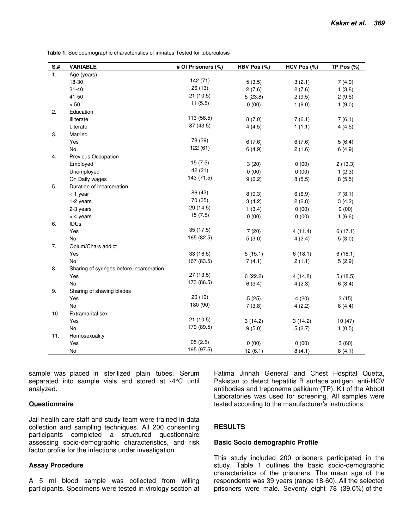**Table 1.** Sociodemographic characteristics of inmates Tested for tuberculosis

| $S+$ | <b>VARIABLE</b>                          | # Of Prisoners (%) | HBV Pos (%) | $HCV$ Pos $(\%)$ | TP Pos $(\%)$ |  |  |  |
|------|------------------------------------------|--------------------|-------------|------------------|---------------|--|--|--|
| 1.   | Age (years)                              |                    |             |                  |               |  |  |  |
|      | 18-30                                    | 142 (71)           | 5(3.5)      | 3(2.1)           | 7(4.9)        |  |  |  |
|      | $31 - 40$                                | 26(13)             | 2(7.6)      | 2(7.6)           | 1(3.8)        |  |  |  |
|      | 41-50                                    | 21(10.5)           | 5(23.8)     | 2(9.5)           | 2(9.5)        |  |  |  |
|      | $>50$                                    | 11(5.5)            | 0(00)       | 1(9.0)           | 1(9.0)        |  |  |  |
| 2.   | Education                                |                    |             |                  |               |  |  |  |
|      | Illiterate                               | 113 (56.5)         | 8(7.0)      | 7(6.1)           | 7(6.1)        |  |  |  |
|      | Literate                                 | 87 (43.5)          | 4(4.5)      | 1(1.1)           | 4(4.5)        |  |  |  |
| 3.   | Married                                  |                    |             |                  |               |  |  |  |
|      | Yes                                      | 78 (39)            | 6(7.6)      | 6(7.6)           | 5(6.4)        |  |  |  |
|      | No                                       | 122(61)            | 6(4.9)      | 2(1.6)           | 6(4.9)        |  |  |  |
| 4.   | Previous Occupation                      |                    |             |                  |               |  |  |  |
|      | Employed                                 | 15(7.5)            | 3(20)       | 0(00)            | 2(13.3)       |  |  |  |
|      | Unemployed                               | 42 (21)            | 0(00)       | 0(00)            | 1(2.3)        |  |  |  |
|      | On Daily wages                           | 143 (71.5)         | 9(6.2)      | 8(5.5)           | 8(5.5)        |  |  |  |
| 5.   | Duration of Incarceration                |                    |             |                  |               |  |  |  |
|      | $<$ 1 year                               | 86 (43)            | 8(9.3)      | 6(6.9)           | 7(8.1)        |  |  |  |
|      | 1-2 years                                | 70 (35)            | 3(4.2)      | 2(2.8)           | 3(4.2)        |  |  |  |
|      | 2-3 years                                | 29 (14.5)          | 1(3.4)      | 0(00)            | 0(00)         |  |  |  |
|      | > 4 years                                | 15(7.5)            | 0(00)       | 0(00)            | 1(6.6)        |  |  |  |
| 6.   | <b>IDUs</b>                              |                    |             |                  |               |  |  |  |
|      | Yes                                      | 35 (17.5)          | 7(20)       | 4(11.4)          | 6(17.1)       |  |  |  |
|      | No                                       | 165 (82.5)         | 5(3.0)      | 4(2.4)           | 5(3.0)        |  |  |  |
| 7.   | Opium/Chars addict                       |                    |             |                  |               |  |  |  |
|      | Yes                                      | 33(16.5)           | 5(15.1)     | 6(18.1)          | 6(18.1)       |  |  |  |
|      | <b>No</b>                                | 167 (83.5)         | 7(4.1)      | 2(1.1)           | 5(2.9)        |  |  |  |
| 8.   | Sharing of syringes before incarceration |                    |             |                  |               |  |  |  |
|      | Yes                                      | 27(13.5)           | 6(22.2)     | 4(14.8)          | 5(18.5)       |  |  |  |
|      | <b>No</b>                                | 173 (86.5)         | 6(3.4)      | 4(2.3)           | 6(3.4)        |  |  |  |
| 9.   | Sharing of shaving blades                |                    |             |                  |               |  |  |  |
|      | Yes                                      | 20(10)             | 5(25)       | 4(20)            | 3(15)         |  |  |  |
|      | <b>No</b>                                | 180 (90)           | 7(3.8)      | 4(2.2)           | 8(4.4)        |  |  |  |
| 10.  | <b>Extramarital sex</b>                  |                    |             |                  |               |  |  |  |
|      | Yes                                      | 21(10.5)           | 3(14.2)     | 3(14.2)          | 10(47)        |  |  |  |
|      | <b>No</b>                                | 179 (89.5)         | 9(5.0)      | 5(2.7)           | 1(0.5)        |  |  |  |
| 11.  | Homosexuality                            |                    |             |                  |               |  |  |  |
|      | Yes                                      | 05(2.5)            | 0(00)       | 0(00)            | 3(60)         |  |  |  |
|      | No                                       | 195 (97.5)         | 12(6.1)     | 8(4.1)           | 8(4.1)        |  |  |  |

sample was placed in sterilized plain tubes. Serum separated into sample vials and stored at -4°C until analyzed.

#### **Questionnaire**

Jail health care staff and study team were trained in data collection and sampling techniques. All 200 consenting participants completed a structured questionnaire assessing socio-demographic characteristics, and risk factor profile for the infections under investigation.

## **Assay Procedure**

A 5 ml blood sample was collected from willing participants. Specimens were tested in virology section at

Fatima Jinnah General and Chest Hospital Quetta, Pakistan to detect hepatitis B surface antigen, anti-HCV antibodies and treponema pallidum (TP). Kit of the Abbott Laboratories was used for screening. All samples were tested according to the manufacturer's instructions.

## **RESULTS**

#### **Basic Socio demographic Profile**

This study included 200 prisoners participated in the study. Table 1 outlines the basic socio-demographic characteristics of the prisoners. The mean age of the respondents was 39 years (range 18-60). All the selected prisoners were male. Seventy eight 78 (39.0%) of the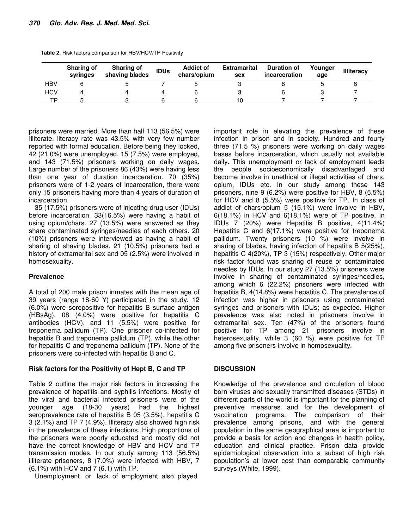|     | <b>Sharing of</b><br>syringes | <b>Sharing of</b><br>shaving blades | <b>IDUs</b> | <b>Addict of</b><br>chars/opium | <b>Extramarital</b><br>sex | <b>Duration of</b><br>incarceration | Younger<br>age | <b>Illiteracy</b> |
|-----|-------------------------------|-------------------------------------|-------------|---------------------------------|----------------------------|-------------------------------------|----------------|-------------------|
| HBV |                               |                                     |             |                                 |                            |                                     |                |                   |
| HCV |                               |                                     |             |                                 |                            |                                     |                |                   |
| тp  |                               |                                     |             |                                 |                            |                                     |                |                   |

|  |  | Table 2. Risk factors comparison for HBV/HCV/TP Positivity |
|--|--|------------------------------------------------------------|
|  |  |                                                            |

prisoners were married. More than half 113 (56.5%) were Illiterate. literacy rate was 43.5% with very few number reported with formal education. Before being they locked, 42 (21.0%) were unemployed, 15 (7.5%) were employed, and 143 (71.5%) prisoners working on daily wages. Large number of the prisoners 86 (43%) were having less than one year of duration incarceration. 70 (35%) prisoners were of 1-2 years of incarceration, there were only 15 prisoners having more than 4 years of duration of incarceration.

35 (17.5%) prisoners were of injecting drug user (IDUs) before incarceration. 33(16.5%) were having a habit of using opium/chars. 27 (13.5%) were answered as they share contaminated syringes/needles of each others. 20 (10%) prisoners were interviewed as having a habit of sharing of shaving blades. 21 (10.5%) prisoners had a history of extramarital sex and 05 (2.5%) were involved in homosexuality.

## **Prevalence**

A total of 200 male prison inmates with the mean age of 39 years (range 18-60 Y) participated in the study. 12 (6.0%) were seropositive for hepatitis B surface antigen (HBsAg), 08 (4.0%) were positive for hepatitis C antibodies (HCV), and 11 (5.5%) were positive for treponema pallidum (TP). One prisoner co-infected for hepatitis B and treponema pallidum (TP), while the other for hepatitis C and treponema pallidum (TP). None of the prisoners were co-infected with hepatitis B and C.

## **Risk factors for the Positivity of Hept B, C and TP**

Table 2 outline the major risk factors in increasing the prevalence of hepatitis and syphilis infections. Mostly of the viral and bacterial infected prisoners were of the younger age (18-30 years) had the highest seroprevalence rate of hepatitis B 05 (3.5%), hepatitis C 3 (2.1%) and TP 7 (4.9%). Illiteracy also showed high risk in the prevalence of these infections. High proportions of the prisoners were poorly educated and mostly did not have the correct knowledge of HBV and HCV and TP transmission modes. In our study among 113 (56.5%) illiterate prisoners, 8 (7.0%) were infected with HBV, 7 (6.1%) with HCV and 7 (6.1) with TP.

Unemployment or lack of employment also played

important role in elevating the prevalence of these infection in prison and in society. Hundred and fourty three (71.5 %) prisoners were working on daily wages bases before incarceration, which usually not available daily. This unemployment or lack of employment leads the people socioeconomically disadvantaged and become involve in unethical or illegal activities of chars, opium, IDUs etc. In our study among these 143 prisoners, nine 9 (6.2%) were positive for HBV, 8 (5.5%) for HCV and 8 (5.5%) were positive for TP. In class of addict of chars/opium 5 (15.1%) were involve in HBV, 6(18.1%) in HCV and 6(18.1%) were of TP positive. In IDUs 7 (20%) were Hepatitis B positive, 4(11.4%) Hepatitis C and 6(17.1%) were positive for treponema pallidum. Twenty prisoners (10 %) were involve in sharing of blades, having infection of hepatitis B 5(25%), hepatitis C 4(20%), TP 3 (15%) respectively. Other major risk factor found was sharing of reuse or contaminated needles by IDUs. In our study 27 (13.5%) prisoners were involve in sharing of contaminated syringes/needles, among which 6 (22.2%) prisoners were infected with hepatitis B, 4(14.8%) were hepatitis C. The prevalence of infection was higher in prisoners using contaminated syringes and prisoners with IDUs; as expected. Higher prevalence was also noted in prisoners involve in extramarital sex. Ten (47%) of the prisoners found positive for TP among 21 prisoners involve in heterosexuality, while 3 (60 %) were positive for TP among five prisoners involve in homosexuality.

## **DISCUSSION**

Knowledge of the prevalence and circulation of blood born viruses and sexually transmitted diseases (STDs) in different parts of the world is important for the planning of preventive measures and for the development of vaccination programs. The comparison of their prevalence among prisons, and with the general population in the same geographical area is important to provide a basis for action and changes in health policy, education and clinical practice. Prison data provide epidemiological observation into a subset of high risk population's at lower cost than comparable community surveys (White, 1999).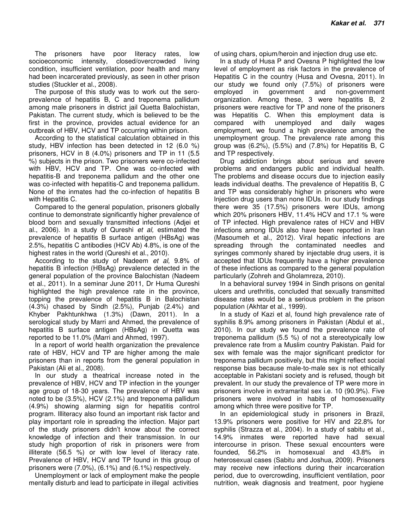The prisoners have poor literacy rates, low socioeconomic intensity, closed/overcrowded living condition, insufficient ventilation, poor health and many had been incarcerated previously, as seen in other prison studies (Stuckler et al., 2008).

The purpose of this study was to work out the seroprevalence of hepatitis B, C and treponema pallidum among male prisoners in district jail Quetta Balochistan, Pakistan. The current study, which is believed to be the first in the province, provides actual evidence for an outbreak of HBV, HCV and TP occurring within prison.

According to the statistical calculation obtained in this study, HBV infection has been detected in 12 (6.0 %) prisoners, HCV in 8 (4.0%) prisoners and TP in 11 (5.5 %) subjects in the prison. Two prisoners were co-infected with HBV, HCV and TP. One was co-infected with hepatitis-B and treponema pallidum and the other one was co-infected with hepatitis-C and treponema pallidum. None of the inmates had the co-infection of hepatitis B with Hepatitis C.

Compared to the general population, prisoners globally continue to demonstrate significantly higher prevalence of blood born and sexually transmitted infections (Adjei et al., 2006). In a study of Qureshi et al, estimated the prevalence of hepatitis B surface antigen (HBsAg) was 2.5%, hepatitis C antibodies (HCV Ab) 4.8%, is one of the highest rates in the world (Qureshi et al., 2010).

According to the study of Nadeem et al, 9.8% of hepatitis B infection (HBsAg) prevalence detected in the general population of the province Balochistan (Nadeem et al., 2011). In a seminar June 2011, Dr Huma Qureshi highlighted the high prevalence rate in the province, topping the prevalence of hepatitis B in Balochistan (4.3%) chased by Sindh (2.5%), Punjab (2.4%) and Khyber Pakhtunkhwa (1.3%) (Dawn, 2011). In a serological study by Marri and Ahmed, the prevalence of hepatitis B surface antigen (HBsAg) in Quetta was reported to be 11.0% (Marri and Ahmed, 1997).

In a report of world health organization the prevalence rate of HBV, HCV and TP are higher among the male prisoners than in reports from the general population in Pakistan (Ali et al., 2008).

In our study a theatrical increase noted in the prevalence of HBV, HCV and TP infection in the younger age group of 18-30 years. The prevalence of HBV was noted to be (3.5%), HCV (2.1%) and treponema pallidum (4.9%) showing alarming sign for hepatitis control program. Illiteracy also found an important risk factor and play important role in spreading the infection. Major part of the study prisoners didn't know about the correct knowledge of infection and their transmission. In our study high proportion of risk in prisoners were from illiterate (56.5 %) or with low level of literacy rate. Prevalence of HBV, HCV and TP found in this group of prisoners were (7.0%), (6.1%) and (6.1%) respectively.

Unemployment or lack of employment make the people mentally disturb and lead to participate in illegal activities

of using chars, opium/heroin and injection drug use etc.

In a study of Husa P and Ovesna P highlighted the low level of employment as risk factors in the prevalence of Hepatitis C in the country (Husa and Ovesna, 2011). In our study we found only (7.5%) of prisoners were employed in government and non-government organization. Among these, 3 were hepatitis B, 2 prisoners were reactive for TP and none of the prisoners was Hepatitis C. When this employment data is compared with unemployed and daily wages employment, we found a high prevalence among the unemployment group. The prevalence rate among this group was (6.2%), (5.5%) and (7.8%) for Hepatitis B, C and TP respectively.

Drug addiction brings about serious and severe problems and endangers public and individual health. The problems and disease occurs due to injection easily leads individual deaths. The prevalence of Hepatitis B, C and TP was considerably higher in prisoners who were Injection drug users than none IDUs. In our study findings there were 35 (17.5%) prisoners were IDUs, among which 20% prisoners HBV, 11.4% HCV and 17.1 % were of TP infected. High prevalence rates of HCV and HBV infections among IDUs also have been reported in Iran (Masoumeh et al., 2012). Viral hepatic infections are spreading through the contaminated needles and syringes commonly shared by injectable drug users, it is accepted that IDUs frequently have a higher prevalence of these infections as compared to the general population particularly (Zohreh and Gholamreza, 2010).

In a behavioral survey 1994 in Sindh prisons on genital ulcers and urethritis, concluded that sexually transmitted disease rates would be a serious problem in the prison population (Akhtar et al., 1999).

In a study of Kazi et al, found high prevalence rate of syphilis 8.9% among prisoners in Pakistan (Abdul et al., 2010). In our study we found the prevalence rate of treponema pallidum (5.5 %) of not a stereotypically low prevalence rate from a Muslim country Pakistan. Paid for sex with female was the major significant predictor for treponema pallidum positively, but this might reflect social response bias because male-to-male sex is not ethically acceptable in Pakistani society and is refused, though bit prevalent. In our study the prevalence of TP were more in prisoners involve in extramarital sex i.e. 10 (90.9%). Five prisoners were involved in habits of homosexuality among which three were positive for TP.

In an epidemiological study in prisoners in Brazil, 13.9% prisoners were positive for HIV and 22.8% for syphilis (Strazza et al., 2004). In a study of sabitu et al., 14.9% inmates were reported have had sexual intercourse in prison. These sexual encounters were founded, 56.2% in homosexual and 43.8% in heterosexual cases (Sabitu and Joshua, 2009). Prisoners may receive new infections during their incarceration period, due to overcrowding, insufficient ventilation, poor nutrition, weak diagnosis and treatment, poor hygiene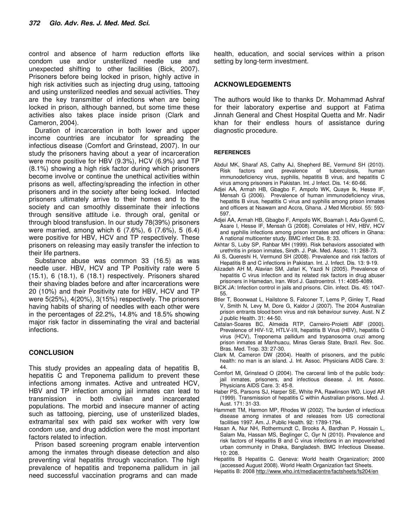control and absence of harm reduction efforts like condom use and/or unsterilized needle use and unexpected shifting to other facilities (Bick, 2007). Prisoners before being locked in prison, highly active in high risk activities such as injecting drug using, tattooing and using unsterilized needles and sexual activities. They are the key transmitter of infections when are being locked in prison, although banned, but some time these activities also takes place inside prison (Clark and Cameron, 2004).

Duration of incarceration in both lower and upper income countries are incubator for spreading the infectious disease (Comfort and Grinstead, 2007). In our study the prisoners having about a year of incarceration were more positive for HBV (9.3%), HCV (6.9%) and TP (8.1%) showing a high risk factor during which prisoners become involve or continue the unethical activities within prisons as well, affecting/spreading the infection in other prisoners and in the society after being locked. Infected prisoners ultimately arrive to their homes and to the society and can smoothly disseminate their infections through sensitive attitude i.e. through oral, genital or through blood transfusion. In our study 78(39%) prisoners were married, among which 6 (7.6%), 6 (7.6%), 5 (6.4) were positive for HBV, HCV and TP respectively. These prisoners on releasing may easily transfer the infection to their life partners.

Substance abuse was common 33 (16.5) as was needle user. HBV, HCV and TP Positivity rate were 5 (15.1), 6 (18.1), 6 (18.1) respectively. Prisoners shared their shaving blades before and after incarcerations were 20 (10%) and their Positivity rate for HBV, HCV and TP were 5(25%), 4(20%), 3(15%) respectively. The prisoners having habits of sharing of needles with each other were in the percentages of 22.2%, 14.8% and 18.5% showing major risk factor in disseminating the viral and bacterial infections.

## **CONCLUSION**

This study provides an appealing data of hepatitis B, hepatitis C and Treponema pallidum to prevent these infections among inmates. Active and untreated HCV, HBV and TP infection among jail inmates can lead to transmission in both civilian and incarcerated populations. The morbid and insecure manner of acting such as tattooing, piercing, use of unsterilized blades, extramarital sex with paid sex worker with very low condom use, and drug addiction were the most important factors related to infection.

Prison based screening program enable intervention among the inmates through disease detection and also preventing viral hepatitis through vaccination. The high prevalence of hepatitis and treponema pallidum in jail need successful vaccination programs and can made

health, education, and social services within a prison setting by long-term investment.

## **ACKNOWLEDGEMENTS**

The authors would like to thanks Dr. Mohammad Ashraf for their laboratory expertise and support at Fatima Jinnah General and Chest Hospital Quetta and Mr. Nadir khan for their endless hours of assistance during diagnostic procedure.

#### **REFERENCES**

- Abdul MK, Sharaf AS, Cathy AJ, Shepherd BE, Vermund SH (2010). Risk factors and prevalence of tuberculosis, human immunodeficiency virus, syphilis, hepatitis B virus, and hepatitis C virus among prisoners in Pakistan. Int. J Infect. Dis. 14: 60-66.
- Adjei AA, Armah HB, Gbagbo F, Ampofo WK, Quaye Ik, Hesse IF, Mensah G (2006). Prevalence of human immunodeficiency virus, hepatitis B virus, hepatitis C virus and syphilis among prison inmates and officers at Nsawam and Accra, Ghana. J Med Microbiol. 55: 593- 597.
- Adjei AA, Armah HB, Gbagbo F, Ampofo WK, Boamah I, Adu-Gyamfi C, Asare I, Hesse IF, Mensah G (2008). Correlates of HIV, HBV, HCV and syphilis infections among prison inmates and officers in Ghana: A national multicenter study. BMC infect Dis. 8: 33.
- Akhtar S, Luby SP, Rahbar MH (1999). Risk behaviors associated with urethritis in prison inmates, Sindh. J. Pak. Med. Assoc. 11: 268-73.
- Ali S, Quereshi H, Vermund SH (2008). Prevalence and risk factors of Hepatitis B and C infections in Pakistan. Int. J. Infect. Dis. 13: 9-19.
- Alizadeh AH M, Alavian SM, Jafari K, Yazdi N (2005). Prevalence of hepatitis C virus infection and its related risk factors in drug abuser prisoners in Hamedan, Iran. Worl J. Gastroentrol. 11: 4085-4089.
- BICK JA: Infection control in jails and prisons. Clin. infect. Dis. 45: 1047- 55.
- Btler T, Boonwaat L, Hailstone S, Falconer T, Lems P, Ginley T, Read V, Smith N, Levy M, Dore G, Kaldor J (2007). The 2004 Australian prison entrants blood born virus and risk behaviour survey. Aust. N Z J public Health. 31: 44-50.
- Catalan-Soares BC, Almeida RTP, Carneiro-Proietti ABF (2000). Prevalence of HIV-1/2, HTLV-I/II, hepatitis B Virus (HBV), hepatitis C virus (HCV), Treponema pallidum and trypanosoma cruzi among prison inmates at Manhuacu, Minas Gerais State, Brazil. Rev. Soc. Bras. Med. Trop. 33: 27-30.
- Clark M, Cameron DW (2004). Health of prisoners, and the public health: no man is an island. J. Int. Assoc. Physicians AIDS Care. 3: 44.
- Comfort Ml, Grinstead O (2004). The carceral limb of the public body: jail inmates, prisoners, and infectious disease. J. Int. Assoc. Physicians AIDS Care. 3: 45-8.
- Haber PS, Parsons SJ, Harper SE, White PA, Rawlinson WD, Lioyd AR (1999). Transmission of hepatitis C within Australian prisons. Med. J. Aust. 171: 31-33.
- Hammett TM, Harmon MP, Rhodes W (2002). The burden of infectious disease among inmates of and releases from US correctional facilities 1997. Am. J. Public Health. 92: 1789-1794.
- Hasan A, Nur NH, Rothermundt C, Brooks A, Bardhan P, Hossain L, Salam Ma, Hassan MS, Beglinger C, Gyr N (2010). Prevalence and risk factors of Hepatitis B and C virus infections in an impoverished urban community in Dhaka, Bangladesh. BMC Infectious Disease. 10: 208.
- Hepatitis B Hepatitis C. Geneva: World health Organization; 2000 (accessed August 2008). World Health Organization fact Sheets.
- Hepatitis B: 2008 http://www.who.int/mediacentre/factsheets/fs204/en